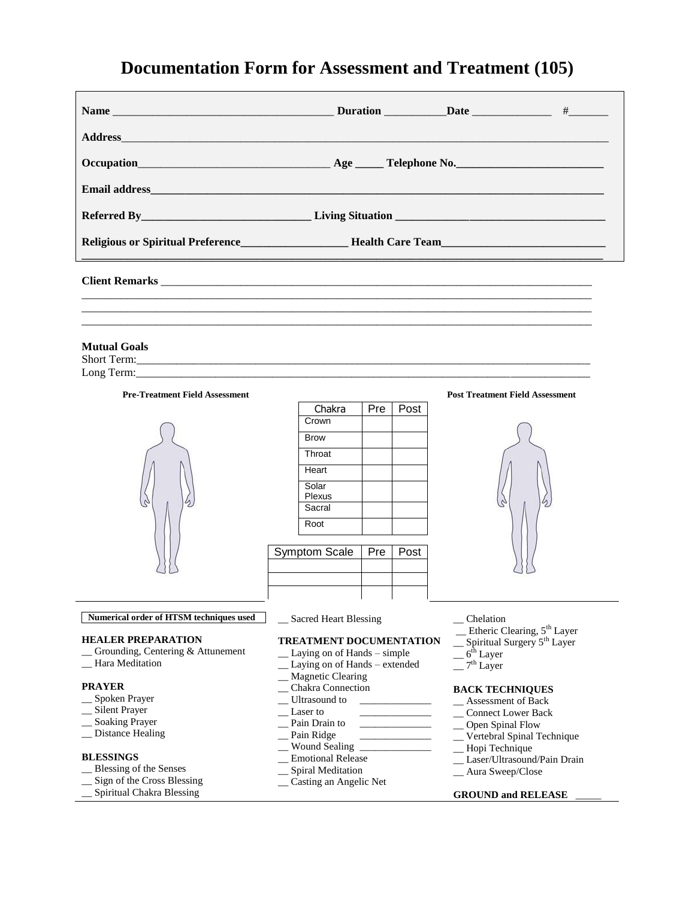# **Documentation Form for Assessment and Treatment (105)**

| Religious or Spiritual Preference__________________________Health Care Team_________________________ |  |
|------------------------------------------------------------------------------------------------------|--|
|                                                                                                      |  |
|                                                                                                      |  |

### **Mutual Goals**

Short Term:\_\_\_\_\_\_\_\_\_\_\_\_\_\_\_\_\_\_\_\_\_\_\_\_\_\_\_\_\_\_\_\_\_\_\_\_\_\_\_\_\_\_\_\_\_\_\_\_\_\_\_\_\_\_\_\_\_\_\_\_\_\_\_\_\_\_\_\_\_\_\_\_\_\_\_\_\_\_\_\_ Long Term:



| Chakra      | Pre | Post |
|-------------|-----|------|
| Crown       |     |      |
| <b>Brow</b> |     |      |
| Throat      |     |      |
| Heart       |     |      |
| Solar       |     |      |
| Plexus      |     |      |
| Sacral      |     |      |
| Root        |     |      |

| Symptom Scale   Pre   Post |  |
|----------------------------|--|
|                            |  |
|                            |  |

#### **Pre-Treatment Field Assessment Post Treatment Field Assessment**



#### **Numerical order of HTSM techniques used**

#### **HEALER PREPARATION**

- \_\_ Grounding, Centering & Attunement
- \_\_ Hara Meditation

#### **PRAYER**

- \_\_ Spoken Prayer
- \_\_ Silent Prayer
- \_\_ Soaking Prayer
- \_\_ Distance Healing

#### **BLESSINGS**

- \_\_ Blessing of the Senses
- \_\_ Sign of the Cross Blessing
- \_\_ Spiritual Chakra Blessing

#### \_\_ Sacred Heart Blessing

#### **TREATMENT DOCUMENTATION**

- \_\_ Laying on of Hands simple
- Laying on of Hands extended
- \_\_ Magnetic Clearing
- \_\_ Chakra Connection
- Ultrasound to
- Laser to
- Pain Drain to
- Pain Ridge
- Wound Sealing
- \_\_ Emotional Release
- \_\_ Spiral Meditation
- \_\_ Casting an Angelic Net

#### \_\_ Chelation

- \_ Etheric Clearing, 5<sup>th</sup> Layer
- \_\_ Spiritual Surgery 5th Layer
- $= 6<sup>th</sup>$  Layer
- $-7^{\text{th}}$  Layer

## **BACK TECHNIQUES**

- \_\_ Assessment of Back
- \_\_ Connect Lower Back
- \_\_ Open Spinal Flow
- \_\_ Vertebral Spinal Technique
- \_\_ Hopi Technique
- \_\_ Laser/Ultrasound/Pain Drain
- \_\_ Aura Sweep/Close

#### **GROUND and RELEASE** \_\_\_\_\_